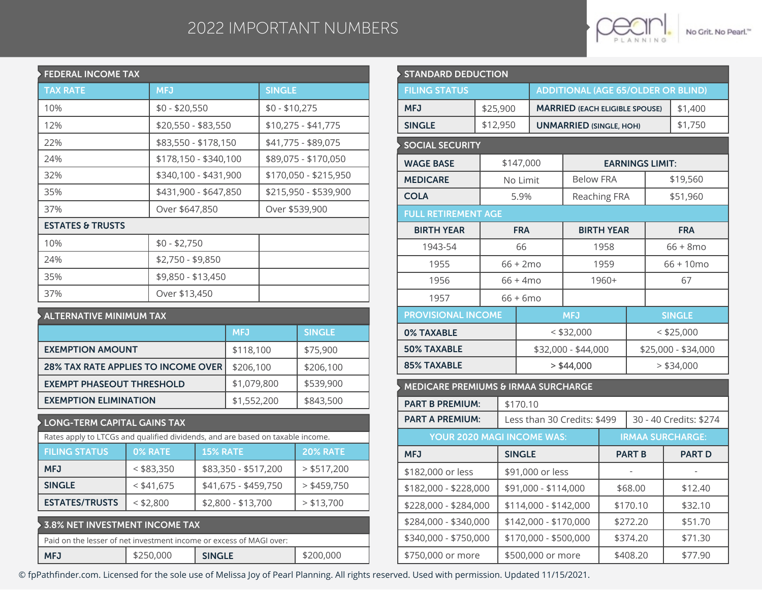## 2022 IMPORTANT NUMBERS



| <b>FEDERAL INCOME TAX</b>   |                       |                       |  |  |  |  |  |
|-----------------------------|-----------------------|-----------------------|--|--|--|--|--|
| <b>TAX RATE</b>             | <b>MFJ</b>            | <b>SINGLE</b>         |  |  |  |  |  |
| 10%                         | $$0 - $20,550$        | $$0 - $10,275$        |  |  |  |  |  |
| 12%                         | \$20,550 - \$83,550   | $$10,275 - $41,775$   |  |  |  |  |  |
| 22%                         | \$83,550 - \$178,150  | \$41,775 - \$89,075   |  |  |  |  |  |
| 24%                         | \$178,150 - \$340,100 | \$89,075 - \$170,050  |  |  |  |  |  |
| 32%                         | \$340,100 - \$431,900 | \$170,050 - \$215,950 |  |  |  |  |  |
| 35%                         | \$431,900 - \$647,850 | \$215,950 - \$539,900 |  |  |  |  |  |
| 37%                         | Over \$647,850        | Over \$539,900        |  |  |  |  |  |
| <b>ESTATES &amp; TRUSTS</b> |                       |                       |  |  |  |  |  |
| 10%                         | $$0 - $2,750$         |                       |  |  |  |  |  |
| 24%                         | \$2,750 - \$9,850     |                       |  |  |  |  |  |
| 35%                         | \$9,850 - \$13,450    |                       |  |  |  |  |  |
| 37%                         | Over \$13,450         |                       |  |  |  |  |  |

| <b>ALTERNATIVE MINIMUM TAX</b>             |             |               |  |  |  |  |  |  |
|--------------------------------------------|-------------|---------------|--|--|--|--|--|--|
|                                            | <b>MFJ</b>  | <b>SINGLE</b> |  |  |  |  |  |  |
| <b>EXEMPTION AMOUNT</b>                    | \$118,100   | \$75,900      |  |  |  |  |  |  |
| <b>28% TAX RATE APPLIES TO INCOME OVER</b> | \$206,100   | \$206,100     |  |  |  |  |  |  |
| <b>EXEMPT PHASEOUT THRESHOLD</b>           | \$1,079,800 | \$539,900     |  |  |  |  |  |  |
| <b>EXEMPTION ELIMINATION</b>               | \$1,552,200 | \$843,500     |  |  |  |  |  |  |

## **LONG-TERM CAPITAL GAINS TAX**

| Rates apply to LTCGs and qualified dividends, and are based on taxable income. |                            |                      |                 |  |  |  |  |
|--------------------------------------------------------------------------------|----------------------------|----------------------|-----------------|--|--|--|--|
| <b>FILING STATUS</b>                                                           | <b>15% RATE</b><br>0% RATE |                      | <b>20% RATE</b> |  |  |  |  |
| <b>MFJ</b>                                                                     | $<$ \$83,350               | \$83,350 - \$517,200 | $>$ \$517,200   |  |  |  |  |
| <b>SINGLE</b>                                                                  | $<$ \$41,675               | \$41,675 - \$459,750 | $>$ \$459,750   |  |  |  |  |
| <b>ESTATES/TRUSTS</b>                                                          | $<$ \$2,800                | \$2,800 - \$13,700   | > \$13,700      |  |  |  |  |
| <b>7 00/ NIFT INIVECTMENT INICOME TAV</b>                                      |                            |                      |                 |  |  |  |  |

| $\triangleright$ 3.8% NET INVESTMENT INCOME TAX.                    |                            |  |                         |  |  |  |  |  |
|---------------------------------------------------------------------|----------------------------|--|-------------------------|--|--|--|--|--|
| Paid on the lesser of net investment income or excess of MAGI over: |                            |  |                         |  |  |  |  |  |
| <b>MFJ</b>                                                          | \$250,000<br><b>SINGLE</b> |  | $\frac{1}{2}$ \$200,000 |  |  |  |  |  |

| <b>STANDARD DEDUCTION</b>                      |                                           |                    |                              |                                                  |                        |                         |               |                     |
|------------------------------------------------|-------------------------------------------|--------------------|------------------------------|--------------------------------------------------|------------------------|-------------------------|---------------|---------------------|
| <b>FILING STATUS</b>                           | <b>ADDITIONAL (AGE 65/OLDER OR BLIND)</b> |                    |                              |                                                  |                        |                         |               |                     |
| <b>MFJ</b>                                     | \$25,900                                  |                    |                              | <b>MARRIED (EACH ELIGIBLE SPOUSE)</b><br>\$1,400 |                        |                         |               |                     |
| <b>SINGLE</b>                                  | \$12,950                                  |                    |                              | <b>UNMARRIED (SINGLE, HOH)</b>                   |                        |                         |               | \$1,750             |
| <b>SOCIAL SECURITY</b>                         |                                           |                    |                              |                                                  |                        |                         |               |                     |
| <b>WAGE BASE</b>                               |                                           | \$147,000          |                              |                                                  | <b>EARNINGS LIMIT:</b> |                         |               |                     |
| <b>MEDICARE</b>                                |                                           | No Limit           |                              | <b>Below FRA</b>                                 |                        |                         |               | \$19,560            |
| <b>COLA</b>                                    |                                           | 5.9%               |                              |                                                  | Reaching FRA           |                         |               | \$51,960            |
| <b>FULL RETIREMENT AGE</b>                     |                                           |                    |                              |                                                  |                        |                         |               |                     |
| <b>BIRTH YEAR</b>                              |                                           | <b>FRA</b>         |                              |                                                  | <b>BIRTH YEAR</b>      |                         |               | <b>FRA</b>          |
| 1943-54                                        |                                           | 66                 |                              |                                                  | 1958                   |                         |               | $66 + 8$ mo         |
| 1955                                           |                                           | $66 + 2mo$         |                              |                                                  | 1959                   |                         | $66 + 10$ mo  |                     |
| 1956                                           |                                           | $66 + 4 \text{mo}$ |                              |                                                  | 1960+                  |                         | 67            |                     |
| 1957                                           |                                           | $66 + 6$ mo        |                              |                                                  |                        |                         |               |                     |
| <b>PROVISIONAL INCOME</b>                      |                                           |                    |                              | <b>MFJ</b>                                       |                        |                         | <b>SINGLE</b> |                     |
| <b>0% TAXABLE</b>                              |                                           |                    | $<$ \$32,000                 |                                                  |                        |                         |               | $<$ \$25,000        |
| <b>50% TAXABLE</b>                             |                                           |                    | \$32,000 - \$44,000          |                                                  |                        |                         |               | \$25,000 - \$34,000 |
| <b>85% TAXABLE</b>                             |                                           |                    | $>$ \$44,000<br>$>$ \$34,000 |                                                  |                        |                         |               |                     |
| <b>MEDICARE PREMIUMS &amp; IRMAA SURCHARGE</b> |                                           |                    |                              |                                                  |                        |                         |               |                     |
| <b>PART B PREMIUM:</b>                         |                                           | \$170.10           |                              |                                                  |                        |                         |               |                     |
| <b>PART A PREMIUM:</b>                         |                                           |                    |                              | Less than 30 Credits: \$499                      |                        | 30 - 40 Credits: \$274  |               |                     |
| YOUR 2020 MAGI INCOME WAS:                     |                                           |                    |                              |                                                  |                        | <b>IRMAA SURCHARGE:</b> |               |                     |
| <b>MFJ</b>                                     |                                           | <b>SINGLE</b>      |                              |                                                  | <b>PART B</b>          |                         |               | <b>PART D</b>       |
| \$182,000 or less                              |                                           |                    | \$91,000 or less             |                                                  |                        |                         |               |                     |
| \$182,000 - \$228,000                          |                                           |                    | \$91,000 - \$114,000         |                                                  | \$68.00                |                         |               | \$12.40             |
| \$228,000 - \$284,000                          |                                           |                    | \$114,000 - \$142,000        |                                                  |                        | \$170.10                |               | \$32.10             |
| \$284,000 - \$340,000                          |                                           |                    | \$142,000 - \$170,000        |                                                  |                        | \$272.20                |               | \$51.70             |
| \$340,000 - \$750,000                          |                                           |                    |                              | \$170,000 - \$500,000<br>\$374.20                |                        |                         | \$71.30       |                     |
| \$750,000 or more                              |                                           |                    |                              | \$500,000 or more                                |                        |                         | \$408.20      | \$77.90             |

© fpPathfinder.com. Licensed for the sole use of Melissa Joy of Pearl Planning. All rights reserved. Used with permission. Updated 11/15/2021.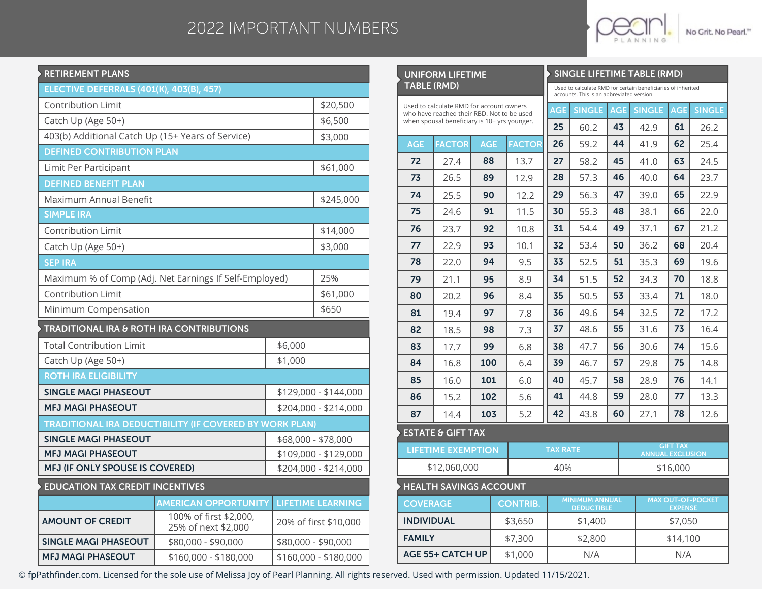## 2022 IMPORTANT NUMBERS

**UNIFORM LIFETIME**



**SINGLE LIFETIME TABLE (RMD)**

| <b>RETIREMENT PLANS</b>                                                    |                                                         |                       |           |  |  |  |
|----------------------------------------------------------------------------|---------------------------------------------------------|-----------------------|-----------|--|--|--|
| ELECTIVE DEFERRALS (401(K), 403(B), 457)                                   |                                                         |                       |           |  |  |  |
| Contribution Limit                                                         | \$20,500                                                |                       |           |  |  |  |
| Catch Up (Age 50+)                                                         | \$6,500                                                 |                       |           |  |  |  |
| 403(b) Additional Catch Up (15+ Years of Service)                          |                                                         |                       | \$3,000   |  |  |  |
| <b>DEFINED CONTRIBUTION PLAN</b>                                           |                                                         |                       |           |  |  |  |
| Limit Per Participant                                                      |                                                         |                       | \$61,000  |  |  |  |
| <b>DEFINED BENEFIT PLAN</b>                                                |                                                         |                       |           |  |  |  |
| Maximum Annual Benefit                                                     |                                                         |                       | \$245,000 |  |  |  |
| <b>SIMPLE IRA</b>                                                          |                                                         |                       |           |  |  |  |
| <b>Contribution Limit</b>                                                  |                                                         |                       | \$14,000  |  |  |  |
| Catch Up (Age 50+)                                                         |                                                         |                       | \$3,000   |  |  |  |
| <b>SEP IRA</b>                                                             |                                                         |                       |           |  |  |  |
| Maximum % of Comp (Adj. Net Earnings If Self-Employed)                     | 25%                                                     |                       |           |  |  |  |
| <b>Contribution Limit</b>                                                  | \$61,000                                                |                       |           |  |  |  |
| Minimum Compensation                                                       | \$650                                                   |                       |           |  |  |  |
| <b>TRADITIONAL IRA &amp; ROTH IRA CONTRIBUTIONS</b>                        |                                                         |                       |           |  |  |  |
| <b>Total Contribution Limit</b>                                            |                                                         |                       |           |  |  |  |
| Catch Up (Age 50+)                                                         | \$1,000                                                 |                       |           |  |  |  |
| <b>ROTH IRA ELIGIBILITY</b>                                                |                                                         |                       |           |  |  |  |
| <b>SINGLE MAGI PHASEOUT</b><br>\$129,000 - \$144,000                       |                                                         |                       |           |  |  |  |
| <b>MFJ MAGI PHASEOUT</b>                                                   | \$204,000 - \$214,000                                   |                       |           |  |  |  |
| <b>TRADITIONAL IRA DEDUCTIBILITY (IF COVERED BY WORK PLAN)</b>             |                                                         |                       |           |  |  |  |
| <b>SINGLE MAGI PHASEOUT</b><br>\$68,000 - \$78,000                         |                                                         |                       |           |  |  |  |
| <b>MFJ MAGI PHASEOUT</b>                                                   | \$109,000 - \$129,000                                   |                       |           |  |  |  |
| MFJ (IF ONLY SPOUSE IS COVERED)<br>\$204,000 - \$214,000                   |                                                         |                       |           |  |  |  |
| <b>EDUCATION TAX CREDIT INCENTIVES</b>                                     |                                                         |                       |           |  |  |  |
|                                                                            | <b>AMERICAN OPPORTUNITY</b><br><b>LIFETIME LEARNING</b> |                       |           |  |  |  |
| <b>AMOUNT OF CREDIT</b>                                                    | 100% of first \$2,000,<br>25% of next \$2,000           | 20% of first \$10,000 |           |  |  |  |
| \$80,000 - \$90,000<br><b>SINGLE MAGI PHASEOUT</b><br>\$80,000 - \$90,000  |                                                         |                       |           |  |  |  |
| <b>MFJ MAGI PHASEOUT</b><br>\$160,000 - \$180,000<br>\$160,000 - \$180,000 |                                                         |                       |           |  |  |  |

| <b>TABLE (RMD)</b>                                                                     |                              |            | Used to calculate RMD for certain beneficiaries of inherited<br>accounts. This is an abbreviated version. |               |                 |                                            |            |                                            |            |               |  |
|----------------------------------------------------------------------------------------|------------------------------|------------|-----------------------------------------------------------------------------------------------------------|---------------|-----------------|--------------------------------------------|------------|--------------------------------------------|------------|---------------|--|
| Used to calculate RMD for account owners<br>who have reached their RBD. Not to be used |                              |            |                                                                                                           |               | AGE             | <b>SINGLE</b>                              | <b>AGE</b> | <b>SINGLE</b>                              | <b>AGE</b> | <b>SINGLE</b> |  |
| when spousal beneficiary is 10+ yrs younger.                                           |                              |            | 25                                                                                                        | 60.2          | 43              | 42.9                                       | 61         | 26.2                                       |            |               |  |
| <b>AGE</b>                                                                             | <b>FACTOR</b>                | <b>AGE</b> |                                                                                                           | <b>FACTOR</b> | 26              | 59.2                                       | 44         | 41.9                                       | 62         | 25.4          |  |
| 72                                                                                     | 27.4                         | 88         |                                                                                                           | 13.7          | 27              | 58.2                                       | 45         | 41.0                                       | 63         | 24.5          |  |
| 73                                                                                     | 26.5                         | 89         |                                                                                                           | 12.9          | 28              | 57.3                                       | 46         | 40.0                                       | 64         | 23.7          |  |
| 74                                                                                     | 25.5                         | 90         |                                                                                                           | 12.2          | 29              | 56.3                                       | 47         | 39.0                                       | 65         | 22.9          |  |
| 75                                                                                     | 24.6                         | 91         |                                                                                                           | 11.5          | 30              | 55.3                                       | 48         | 38.1                                       | 66         | 22.0          |  |
| 76                                                                                     | 23.7                         | 92         |                                                                                                           | 10.8          | 31              | 54.4                                       | 49         | 37.1                                       | 67         | 21.2          |  |
| 77                                                                                     | 22.9                         | 93         |                                                                                                           | 10.1          | 32              | 53.4                                       | 50         | 36.2                                       | 68         | 20.4          |  |
| 78                                                                                     | 22.0                         | 94         |                                                                                                           | 9.5           | 33              | 52.5                                       | 51         | 35.3                                       | 69         | 19.6          |  |
| 79                                                                                     | 21.1                         | 95         |                                                                                                           | 8.9           | 34              | 51.5                                       | 52         | 34.3                                       | 70         | 18.8          |  |
| 80                                                                                     | 20.2                         | 96         |                                                                                                           | 8.4           | 35              | 50.5                                       | 53         | 33.4                                       | 71         | 18.0          |  |
| 81                                                                                     | 19.4                         | 97         |                                                                                                           | 7.8           | 36              | 49.6                                       | 54         | 32.5                                       | 72         | 17.2          |  |
| 82                                                                                     | 18.5                         | 98         |                                                                                                           | 7.3           | 37              | 48.6                                       | 55         | 31.6                                       | 73         | 16.4          |  |
| 83                                                                                     | 17.7                         | 99         |                                                                                                           | 6.8           | 38              | 47.7                                       | 56         | 30.6                                       | 74         | 15.6          |  |
| 84                                                                                     | 16.8                         | 100        |                                                                                                           | 6.4           | 39              | 46.7                                       | 57         | 29.8                                       | 75         | 14.8          |  |
| 85                                                                                     | 16.0                         | 101        |                                                                                                           | 6.0           | 40              | 45.7                                       | 58         | 28.9                                       | 76         | 14.1          |  |
| 86                                                                                     | 15.2                         | 102        |                                                                                                           | 5.6           | 41              | 44.8                                       | 59         | 28.0                                       | 77         | 13.3          |  |
| 87                                                                                     | 14.4                         | 103        |                                                                                                           | 5.2           | 42              | 43.8                                       | 60         | 27.1                                       | 78         | 12.6          |  |
|                                                                                        | <b>ESTATE &amp; GIFT TAX</b> |            |                                                                                                           |               |                 |                                            |            |                                            |            |               |  |
|                                                                                        | <b>LIFETIME EXEMPTION</b>    |            |                                                                                                           |               | <b>TAX RATE</b> |                                            |            | <b>GIFT TAX</b><br><b>ANNUAL EXCLUSION</b> |            |               |  |
| \$12,060,000                                                                           |                              |            |                                                                                                           |               | 40%             |                                            |            | \$16,000                                   |            |               |  |
| <b>HEALTH SAVINGS ACCOUNT</b>                                                          |                              |            |                                                                                                           |               |                 |                                            |            |                                            |            |               |  |
| <b>COVERAGE</b><br><b>CONTRIB.</b>                                                     |                              |            | <b>MINIMUM ANNUAL</b><br><b>DEDUCTIBLE</b>                                                                |               |                 | <b>MAX OUT-OF-POCKET</b><br><b>EXPENSE</b> |            |                                            |            |               |  |
| <b>INDIVIDUAL</b>                                                                      |                              |            |                                                                                                           | \$3,650       |                 | \$1,400                                    |            |                                            | \$7,050    |               |  |
| <b>FAMILY</b>                                                                          |                              | \$7,300    |                                                                                                           | \$2,800       |                 |                                            | \$14,100   |                                            |            |               |  |
| <b>AGE 55+ CATCH UP</b>                                                                |                              |            |                                                                                                           | \$1,000       |                 | N/A                                        |            | N/A                                        |            |               |  |

© fpPathfinder.com. Licensed for the sole use of Melissa Joy of Pearl Planning. All rights reserved. Used with permission. Updated 11/15/2021.